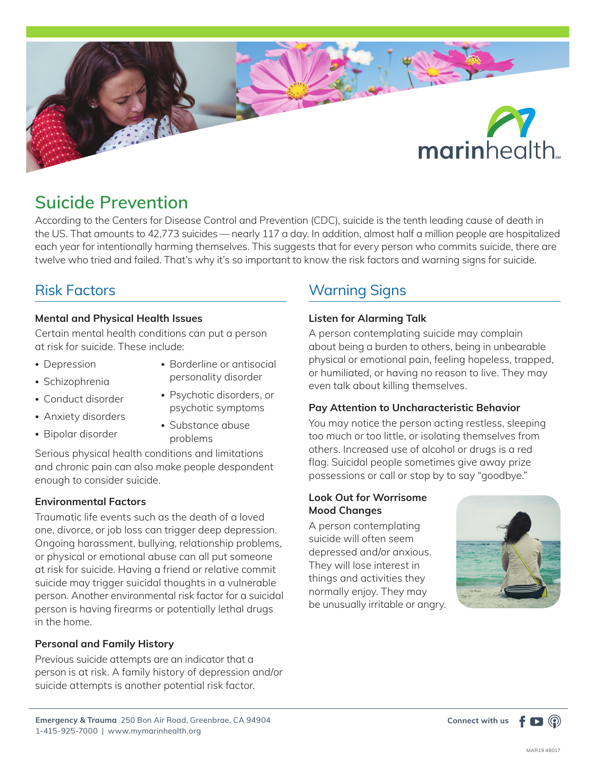

# **Suicide Prevention**

According to the Centers for Disease Control and Prevention (CDC), suicide is the tenth leading cause of death in the US. That amounts to 42,773 suicides — nearly 117 a day. In addition, almost half a million people are hospitalized each year for intentionally harming themselves. This suggests that for every person who commits suicide, there are twelve who tried and failed. That's why it's so important to know the risk factors and warning signs for suicide.

# Risk Factors

#### **Mental and Physical Health Issues**

Certain mental health conditions can put a person at risk for suicide. These include:

- Depression
- Borderline or antisocial personality disorder
- Schizophrenia • Conduct disorder
- Psychotic disorders, or psychotic symptoms
- Anxiety disorders
- Bipolar disorder
- Substance abuse problems

Serious physical health conditions and limitations and chronic pain can also make people despondent enough to consider suicide.

#### **Environmental Factors**

Traumatic life events such as the death of a loved one, divorce, or job loss can trigger deep depression. Ongoing harassment, bullying, relationship problems, or physical or emotional abuse can all put someone at risk for suicide. Having a friend or relative commit suicide may trigger suicidal thoughts in a vulnerable person. Another environmental risk factor for a suicidal person is having firearms or potentially lethal drugs in the home.

# **Personal and Family History**

Previous suicide attempts are an indicator that a person is at risk. A family history of depression and/or suicide attempts is another potential risk factor.

# Warning Signs

# **Listen for Alarming Talk**

A person contemplating suicide may complain about being a burden to others, being in unbearable physical or emotional pain, feeling hopeless, trapped, or humiliated, or having no reason to live. They may even talk about killing themselves.

#### **Pay Attention to Uncharacteristic Behavior**

You may notice the person acting restless, sleeping too much or too little, or isolating themselves from others. Increased use of alcohol or drugs is a red flag. Suicidal people sometimes give away prize possessions or call or stop by to say "goodbye."

# **Look Out for Worrisome Mood Changes**

A person contemplating suicide will often seem depressed and/or anxious. They will lose interest in things and activities they normally enjoy. They may be unusually irritable or angry.